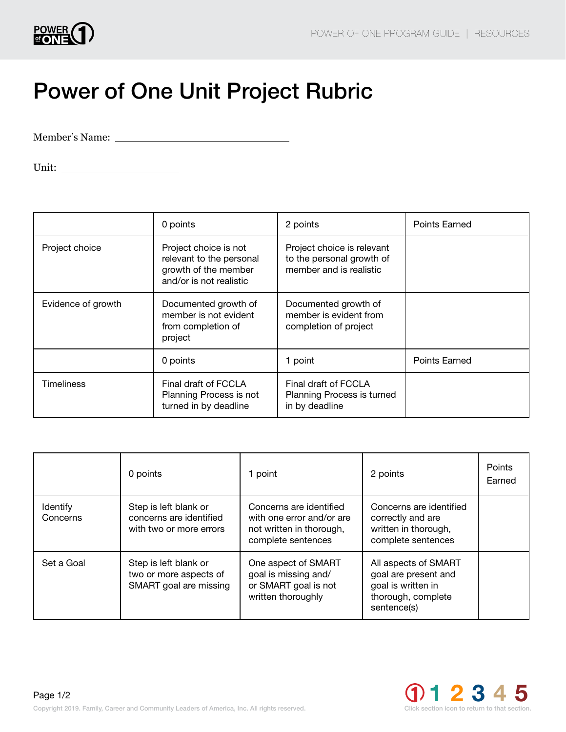

## Power of One Unit Project Rubric

Member's Name:

Unit:

|                    | 0 points                                                                                             | 2 points                                                                           | <b>Points Earned</b> |
|--------------------|------------------------------------------------------------------------------------------------------|------------------------------------------------------------------------------------|----------------------|
| Project choice     | Project choice is not<br>relevant to the personal<br>growth of the member<br>and/or is not realistic | Project choice is relevant<br>to the personal growth of<br>member and is realistic |                      |
| Evidence of growth | Documented growth of<br>member is not evident<br>from completion of<br>project                       | Documented growth of<br>member is evident from<br>completion of project            |                      |
|                    | 0 points                                                                                             | 1 point                                                                            | <b>Points Earned</b> |
| <b>Timeliness</b>  | Final draft of FCCLA<br>Planning Process is not<br>turned in by deadline                             | Final draft of FCCLA<br>Planning Process is turned<br>in by deadline               |                      |

|                      | 0 points                                                                    | 1 point                                                                                                | 2 points                                                                                                | Points<br>Earned |
|----------------------|-----------------------------------------------------------------------------|--------------------------------------------------------------------------------------------------------|---------------------------------------------------------------------------------------------------------|------------------|
| Identify<br>Concerns | Step is left blank or<br>concerns are identified<br>with two or more errors | Concerns are identified<br>with one error and/or are<br>not written in thorough,<br>complete sentences | Concerns are identified<br>correctly and are<br>written in thorough,<br>complete sentences              |                  |
| Set a Goal           | Step is left blank or<br>two or more aspects of<br>SMART goal are missing   | One aspect of SMART<br>goal is missing and/<br>or SMART goal is not<br>written thoroughly              | All aspects of SMART<br>goal are present and<br>goal is written in<br>thorough, complete<br>sentence(s) |                  |